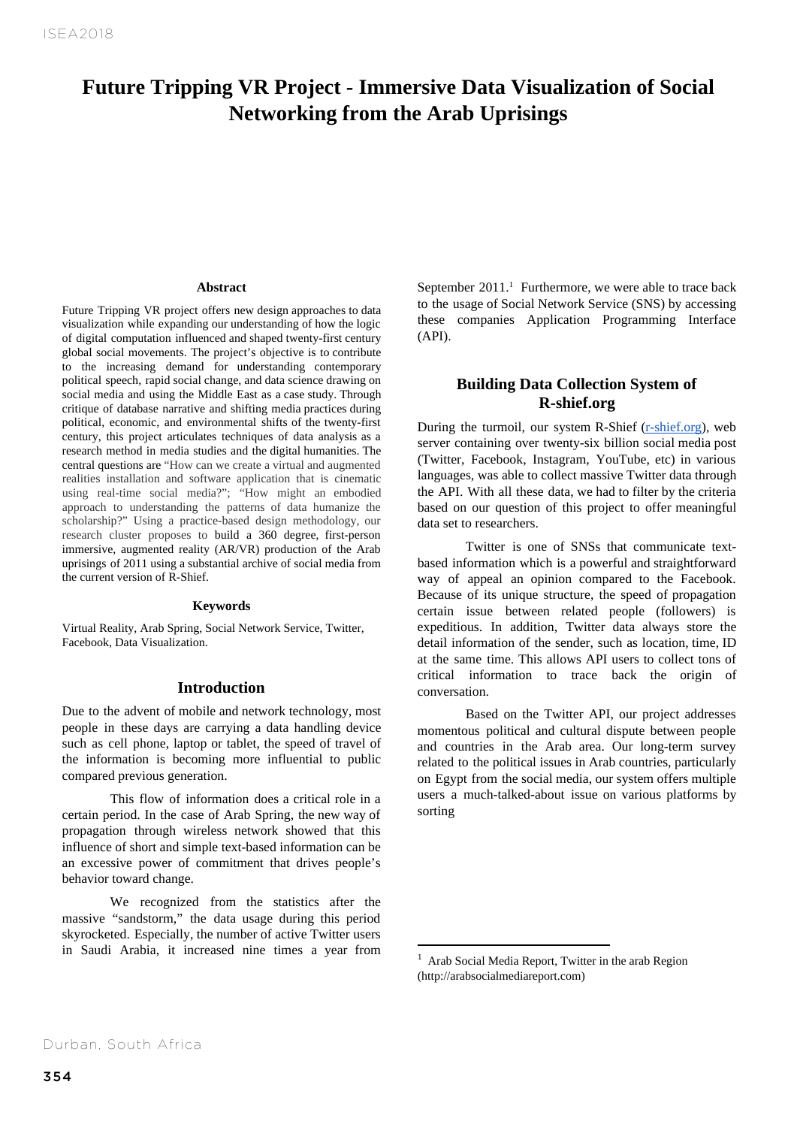# **Future Tripping VR Project - Immersive Data Visualization of Social Networking from the Arab Uprisings**

#### **Abstract**

Future Tripping VR project offers new design approaches to data visualization while expanding our understanding of how the logic of digital computation influenced and shaped twenty-first century global social movements. The project's objective is to contribute to the increasing demand for understanding contemporary political speech, rapid social change, and data science drawing on social media and using the Middle East as a case study. Through critique of database narrative and shifting media practices during political, economic, and environmental shifts of the twenty-first century, this project articulates techniques of data analysis as a research method in media studies and the digital humanities. The central questions are "How can we create a virtual and augmented realities installation and software application that is cinematic using real-time social media?"; "How might an embodied approach to understanding the patterns of data humanize the scholarship?" Using a practice-based design methodology, our research cluster proposes to build a 360 degree, first-person immersive, augmented reality (AR/VR) production of the Arab uprisings of 2011 using a substantial archive of social media from the current version of R-Shief.

#### **Keywords**

Virtual Reality, Arab Spring, Social Network Service, Twitter, Facebook, Data Visualization.

## **Introduction**

Due to the advent of mobile and network technology, most people in these days are carrying a data handling device such as cell phone, laptop or tablet, the speed of travel of the information is becoming more influential to public compared previous generation.

This flow of information does a critical role in a certain period. In the case of Arab Spring, the new way of propagation through wireless network showed that this influence of short and simple text-based information can be an excessive power of commitment that drives people's behavior toward change.

We recognized from the statistics after the massive "sandstorm," the data usage during this period skyrocketed. Especially, the number of active Twitter users in Saudi Arabia, it increased nine times a year from September  $2011$ .<sup>1</sup> Furthermore, we were able to trace back to the usage of Social Network Service (SNS) by accessing these companies Application Programming Interface (API).

# **Building Data Collection System of R-shief.org**

During the turmoil, our system R-Shief (r-shief.org), web server containing over twenty-six billion social media post (Twitter, Facebook, Instagram, YouTube, etc) in various languages, was able to collect massive Twitter data through the API. With all these data, we had to filter by the criteria based on our question of this project to offer meaningful data set to researchers.

Twitter is one of SNSs that communicate textbased information which is a powerful and straightforward way of appeal an opinion compared to the Facebook. Because of its unique structure, the speed of propagation certain issue between related people (followers) is expeditious. In addition, Twitter data always store the detail information of the sender, such as location, time, ID at the same time. This allows API users to collect tons of critical information to trace back the origin of conversation.

Based on the Twitter API, our project addresses momentous political and cultural dispute between people and countries in the Arab area. Our long-term survey related to the political issues in Arab countries, particularly on Egypt from the social media, our system offers multiple users a much-talked-about issue on various platforms by sorting

 $1$  Arab Social Media Report, Twitter in the arab Region (http://arabsocialmediareport.com)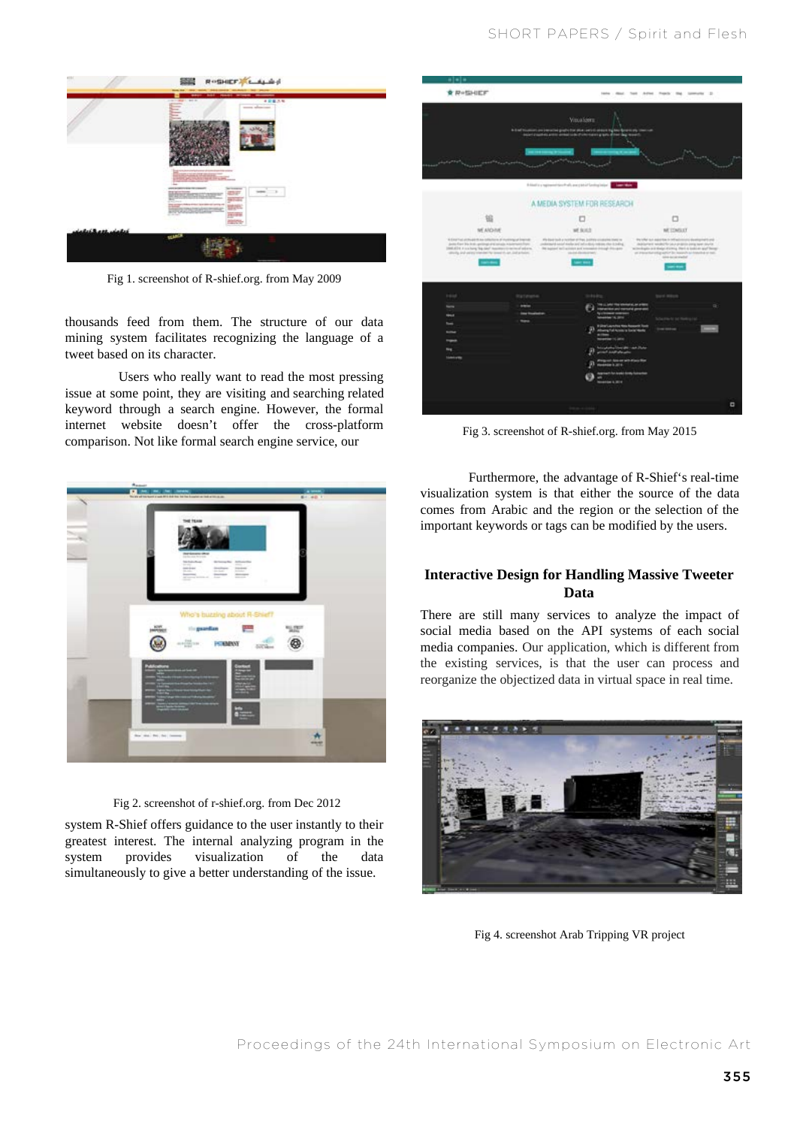

Fig 1. screenshot of R-shief.org. from May 2009

thousands feed from them. The structure of our data mining system facilitates recognizing the language of a tweet based on its character.

 Users who really want to read the most pressing issue at some point, they are visiting and searching related keyword through a search engine. However, the formal internet website doesn't offer the cross-platform comparison. Not like formal search engine service, our



Fig 2. screenshot of r-shief.org. from Dec 2012

system R-Shief offers guidance to the user instantly to their greatest interest. The internal analyzing program in the system provides visualization of the data simultaneously to give a better understanding of the issue.



Fig 3. screenshot of R-shief.org. from May 2015

Furthermore, the advantage of R-Shief's real-time visualization system is that either the source of the data comes from Arabic and the region or the selection of the important keywords or tags can be modified by the users.

## **Interactive Design for Handling Massive Tweeter Data**

There are still many services to analyze the impact of social media based on the API systems of each social media companies. Our application, which is different from the existing services, is that the user can process and reorganize the objectized data in virtual space in real time.



Fig 4. screenshot Arab Tripping VR project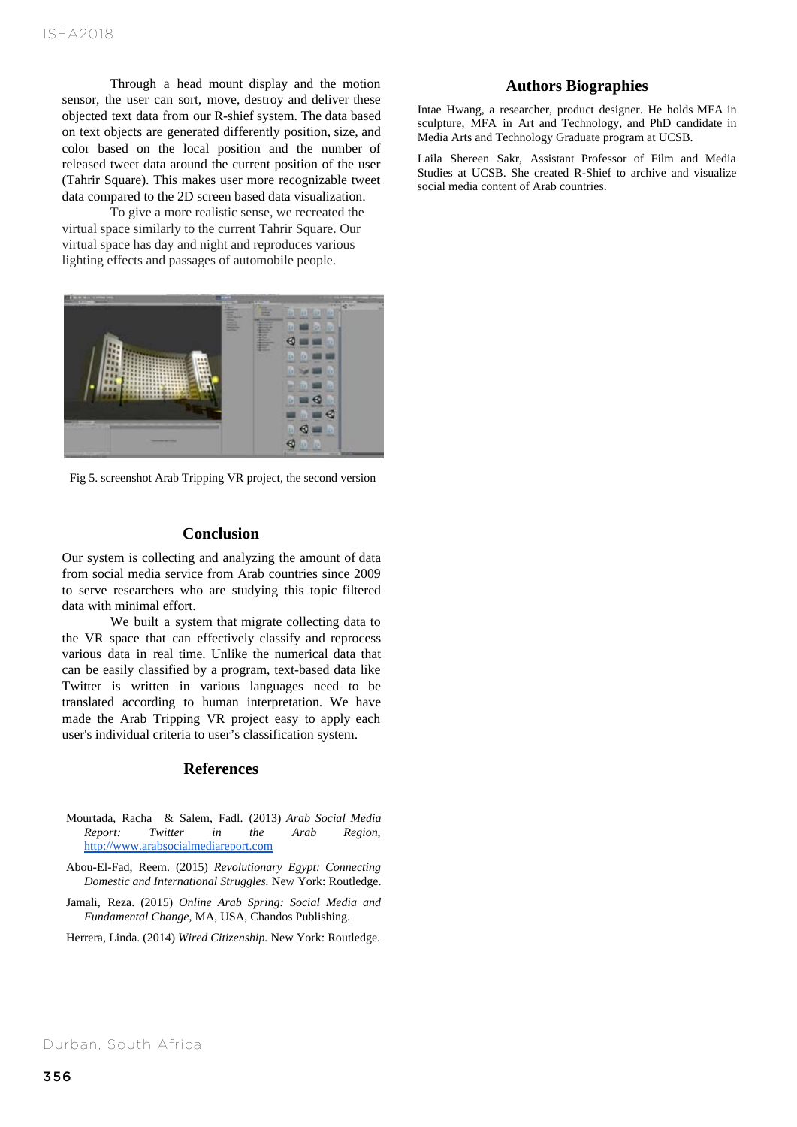Through a head mount display and the motion sensor, the user can sort, move, destroy and deliver these objected text data from our R-shief system. The data based on text objects are generated differently position, size, and color based on the local position and the number of released tweet data around the current position of the user (Tahrir Square). This makes user more recognizable tweet data compared to the 2D screen based data visualization.

To give a more realistic sense, we recreated the virtual space similarly to the current Tahrir Square. Our virtual space has day and night and reproduces various lighting effects and passages of automobile people.



Fig 5. screenshot Arab Tripping VR project, the second version

### **Conclusion**

Our system is collecting and analyzing the amount of data from social media service from Arab countries since 2009 to serve researchers who are studying this topic filtered data with minimal effort.

We built a system that migrate collecting data to the VR space that can effectively classify and reprocess various data in real time. Unlike the numerical data that can be easily classified by a program, text-based data like Twitter is written in various languages need to be translated according to human interpretation. We have made the Arab Tripping VR project easy to apply each user's individual criteria to user's classification system.

### **References**

- Mourtada, Racha & Salem, Fadl. (2013) *Arab Social Media Report: Twitter in the Arab Region,* http://www.arabsocialmediareport.com
- Abou-El-Fad, Reem. (2015) *Revolutionary Egypt: Connecting Domestic and International Struggles.* New York: Routledge.
- Jamali, Reza. (2015) *Online Arab Spring: Social Media and Fundamental Change,* MA, USA, Chandos Publishing.

Herrera, Linda. (2014) *Wired Citizenship.* New York: Routledge.

## **Authors Biographies**

Intae Hwang, a researcher, product designer. He holds MFA in sculpture, MFA in Art and Technology, and PhD candidate in Media Arts and Technology Graduate program at UCSB.

Laila Shereen Sakr, Assistant Professor of Film and Media Studies at UCSB. She created R-Shief to archive and visualize social media content of Arab countries.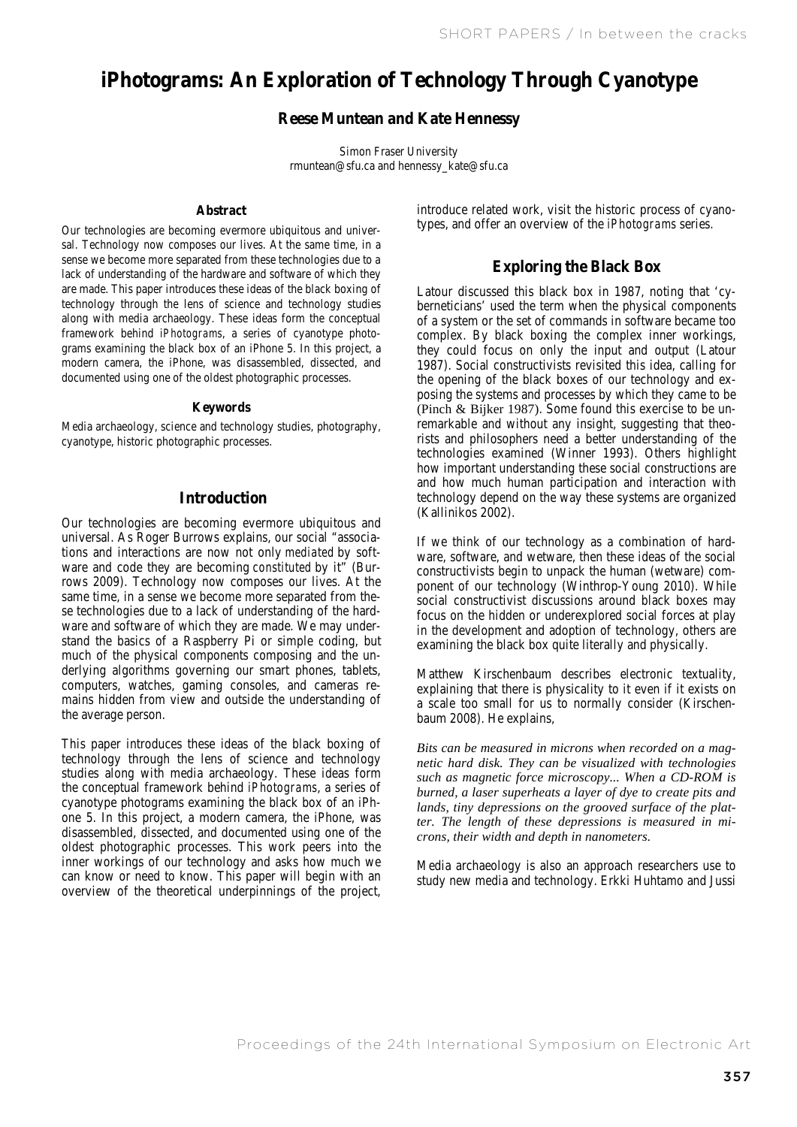# **iPhotograms: An Exploration of Technology Through Cyanotype**

# **Reese Muntean and Kate Hennessy**

Muntean and Kate Hennessy Simon Fraser University rmuntean@sfu.ca and hennessy\_kate@sfu.ca

#### **Abstract**

Our technologies are becoming evermore ubiquitous and universal. Technology now composes our lives. At the same time, in a sense we become more separated from these technologies due to a lack of understanding of the hardware and software of which they are made. This paper introduces these ideas of the black boxing of technology through the lens of science and technology studies along with media archaeology. These ideas form the conceptual framework behind *iPhotograms*, a series of cyanotype photograms examining the black box of an iPhone 5. In this project, a modern camera, the iPhone, was disassembled, dissected, and documented using one of the oldest photographic processes.

#### **Keywords**

Media archaeology, science and technology studies, photography, cyanotype, historic photographic processes.

## **Introduction**

Our technologies are becoming evermore ubiquitous and universal. As Roger Burrows explains, our social "associations and interactions are now not only *mediated* by software and code they are becoming *constituted* by it" (Burrows 2009). Technology now composes our lives. At the same time, in a sense we become more separated from these technologies due to a lack of understanding of the hardware and software of which they are made. We may understand the basics of a Raspberry Pi or simple coding, but much of the physical components composing and the underlying algorithms governing our smart phones, tablets, computers, watches, gaming consoles, and cameras remains hidden from view and outside the understanding of the average person.

This paper introduces these ideas of the black boxing of technology through the lens of science and technology studies along with media archaeology. These ideas form the conceptual framework behind *iPhotograms*, a series of cyanotype photograms examining the black box of an iPhone 5. In this project, a modern camera, the iPhone, was disassembled, dissected, and documented using one of the oldest photographic processes. This work peers into the inner workings of our technology and asks how much we can know or need to know. This paper will begin with an overview of the theoretical underpinnings of the project,

introduce related work, visit the historic process of cyanotypes, and offer an overview of the *iPhotograms* series.

# **Exploring the Black Box**

Latour discussed this black box in 1987, noting that 'cyberneticians' used the term when the physical components of a system or the set of commands in software became too complex. By black boxing the complex inner workings, they could focus on only the input and output (Latour 1987). Social constructivists revisited this idea, calling for the opening of the black boxes of our technology and exposing the systems and processes by which they came to be (Pinch & Bijker 1987). Some found this exercise to be unremarkable and without any insight, suggesting that theorists and philosophers need a better understanding of the technologies examined (Winner 1993). Others highlight how important understanding these social constructions are and how much human participation and interaction with technology depend on the way these systems are organized (Kallinikos 2002).

If we think of our technology as a combination of hardware, software, and wetware, then these ideas of the social constructivists begin to unpack the human (wetware) component of our technology (Winthrop-Young 2010). While social constructivist discussions around black boxes may focus on the hidden or underexplored social forces at play in the development and adoption of technology, others are examining the black box quite literally and physically.

Matthew Kirschenbaum describes electronic textuality, explaining that there is physicality to it even if it exists on a scale too small for us to normally consider (Kirschenbaum 2008). He explains,

*Bits can be measured in microns when recorded on a magnetic hard disk. They can be visualized with technologies such as magnetic force microscopy... When a CD-ROM is burned, a laser superheats a layer of dye to create pits and lands, tiny depressions on the grooved surface of the platter. The length of these depressions is measured in microns, their width and depth in nanometers.*

Media archaeology is also an approach researchers use to study new media and technology. Erkki Huhtamo and Jussi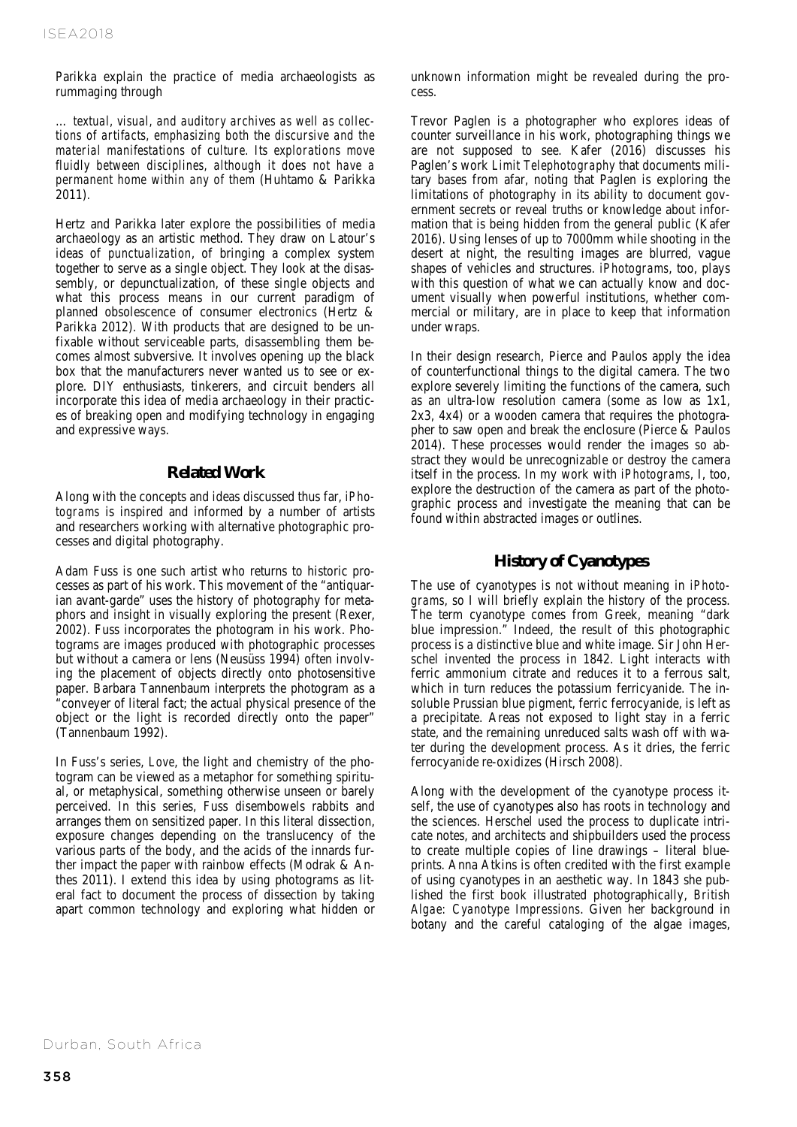Parikka explain the practice of media archaeologists as rummaging through

… *textual, visual, and auditory archives as well as collections of artifacts, emphasizing both the discursive and the material manifestations of culture. Its explorations move fluidly between disciplines, although it does not have a permanent home within any of them* (Huhtamo & Parikka 2011)*.* 

Hertz and Parikka later explore the possibilities of media archaeology as an artistic method. They draw on Latour's ideas of *punctualization*, of bringing a complex system together to serve as a single object. They look at the disassembly, or depunctualization, of these single objects and what this process means in our current paradigm of planned obsolescence of consumer electronics (Hertz & Parikka 2012). With products that are designed to be unfixable without serviceable parts, disassembling them becomes almost subversive. It involves opening up the black box that the manufacturers never wanted us to see or explore. DIY enthusiasts, tinkerers, and circuit benders all incorporate this idea of media archaeology in their practices of breaking open and modifying technology in engaging and expressive ways.

## **Related Work**

Along with the concepts and ideas discussed thus far, *iPhotograms* is inspired and informed by a number of artists and researchers working with alternative photographic processes and digital photography.

Adam Fuss is one such artist who returns to historic processes as part of his work. This movement of the "antiquarian avant-garde" uses the history of photography for metaphors and insight in visually exploring the present (Rexer, 2002). Fuss incorporates the photogram in his work. Photograms are images produced with photographic processes but without a camera or lens (Neusüss 1994) often involving the placement of objects directly onto photosensitive paper. Barbara Tannenbaum interprets the photogram as a "conveyer of literal fact; the actual physical presence of the object or the light is recorded directly onto the paper" (Tannenbaum 1992).

In Fuss's series, *Love*, the light and chemistry of the photogram can be viewed as a metaphor for something spiritual, or metaphysical, something otherwise unseen or barely perceived. In this series, Fuss disembowels rabbits and arranges them on sensitized paper. In this literal dissection, exposure changes depending on the translucency of the various parts of the body, and the acids of the innards further impact the paper with rainbow effects (Modrak & Anthes 2011). I extend this idea by using photograms as literal fact to document the process of dissection by taking apart common technology and exploring what hidden or

unknown information might be revealed during the process.

Trevor Paglen is a photographer who explores ideas of counter surveillance in his work, photographing things we are not supposed to see. Kafer (2016) discusses his Paglen's work *Limit Telephotography* that documents military bases from afar, noting that Paglen is exploring the limitations of photography in its ability to document government secrets or reveal truths or knowledge about information that is being hidden from the general public (Kafer 2016). Using lenses of up to 7000mm while shooting in the desert at night, the resulting images are blurred, vague shapes of vehicles and structures. *iPhotograms*, too, plays with this question of what we can actually know and document visually when powerful institutions, whether commercial or military, are in place to keep that information under wraps.

In their design research, Pierce and Paulos apply the idea of counterfunctional things to the digital camera. The two explore severely limiting the functions of the camera, such as an ultra-low resolution camera (some as low as 1x1, 2x3, 4x4) or a wooden camera that requires the photographer to saw open and break the enclosure (Pierce & Paulos 2014). These processes would render the images so abstract they would be unrecognizable or destroy the camera itself in the process. In my work with *iPhotograms*, I, too, explore the destruction of the camera as part of the photographic process and investigate the meaning that can be found within abstracted images or outlines.

## **History of Cyanotypes**

The use of cyanotypes is not without meaning in *iPhotograms*, so I will briefly explain the history of the process. The term cyanotype comes from Greek, meaning "dark blue impression." Indeed, the result of this photographic process is a distinctive blue and white image. Sir John Herschel invented the process in 1842. Light interacts with ferric ammonium citrate and reduces it to a ferrous salt, which in turn reduces the potassium ferricyanide. The insoluble Prussian blue pigment, ferric ferrocyanide, is left as a precipitate. Areas not exposed to light stay in a ferric state, and the remaining unreduced salts wash off with water during the development process. As it dries, the ferric ferrocyanide re-oxidizes (Hirsch 2008).

Along with the development of the cyanotype process itself, the use of cyanotypes also has roots in technology and the sciences. Herschel used the process to duplicate intricate notes, and architects and shipbuilders used the process to create multiple copies of line drawings – literal blueprints. Anna Atkins is often credited with the first example of using cyanotypes in an aesthetic way. In 1843 she published the first book illustrated photographically, *British Algae: Cyanotype Impressions*. Given her background in botany and the careful cataloging of the algae images,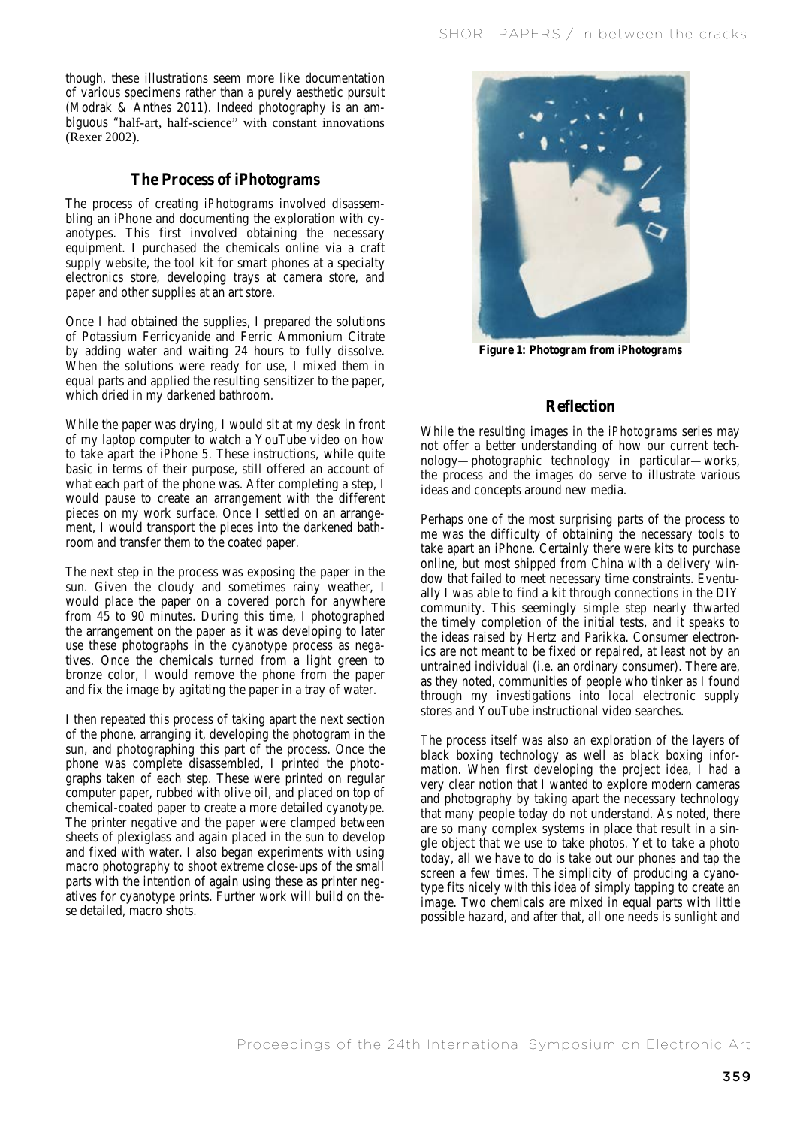though, these illustrations seem more like documentation of various specimens rather than a purely aesthetic pursuit (Modrak & Anthes 2011). Indeed photography is an ambiguous "half-art, half-science" with constant innovations (Rexer 2002).

## **The Process of** *iPhotograms*

The process of creating *iPhotograms* involved disassembling an iPhone and documenting the exploration with cyanotypes. This first involved obtaining the necessary equipment. I purchased the chemicals online via a craft supply website, the tool kit for smart phones at a specialty electronics store, developing trays at camera store, and paper and other supplies at an art store.

Once I had obtained the supplies, I prepared the solutions of Potassium Ferricyanide and Ferric Ammonium Citrate by adding water and waiting 24 hours to fully dissolve. When the solutions were ready for use, I mixed them in equal parts and applied the resulting sensitizer to the paper, which dried in my darkened bathroom.

While the paper was drying, I would sit at my desk in front of my laptop computer to watch a YouTube video on how to take apart the iPhone 5. These instructions, while quite basic in terms of their purpose, still offered an account of what each part of the phone was. After completing a step, I would pause to create an arrangement with the different pieces on my work surface. Once I settled on an arrangement, I would transport the pieces into the darkened bathroom and transfer them to the coated paper.

The next step in the process was exposing the paper in the sun. Given the cloudy and sometimes rainy weather, I would place the paper on a covered porch for anywhere from 45 to 90 minutes. During this time, I photographed the arrangement on the paper as it was developing to later use these photographs in the cyanotype process as negatives. Once the chemicals turned from a light green to bronze color, I would remove the phone from the paper and fix the image by agitating the paper in a tray of water.

I then repeated this process of taking apart the next section of the phone, arranging it, developing the photogram in the sun, and photographing this part of the process. Once the phone was complete disassembled, I printed the photographs taken of each step. These were printed on regular computer paper, rubbed with olive oil, and placed on top of chemical-coated paper to create a more detailed cyanotype. The printer negative and the paper were clamped between sheets of plexiglass and again placed in the sun to develop and fixed with water. I also began experiments with using macro photography to shoot extreme close-ups of the small parts with the intention of again using these as printer negatives for cyanotype prints. Further work will build on these detailed, macro shots.



**Figure 1: Photogram from** *iPhotograms*

# **Reflection**

While the resulting images in the *iPhotograms* series may not offer a better understanding of how our current technology—photographic technology in particular—works, the process and the images do serve to illustrate various ideas and concepts around new media.

Perhaps one of the most surprising parts of the process to me was the difficulty of obtaining the necessary tools to take apart an iPhone. Certainly there were kits to purchase online, but most shipped from China with a delivery window that failed to meet necessary time constraints. Eventually I was able to find a kit through connections in the DIY community. This seemingly simple step nearly thwarted the timely completion of the initial tests, and it speaks to the ideas raised by Hertz and Parikka. Consumer electronics are not meant to be fixed or repaired, at least not by an untrained individual (i.e. an ordinary consumer). There are, as they noted, communities of people who tinker as I found through my investigations into local electronic supply stores and YouTube instructional video searches.

The process itself was also an exploration of the layers of black boxing technology as well as black boxing information. When first developing the project idea, I had a very clear notion that I wanted to explore modern cameras and photography by taking apart the necessary technology that many people today do not understand. As noted, there are so many complex systems in place that result in a single object that we use to take photos. Yet to take a photo today, all we have to do is take out our phones and tap the screen a few times. The simplicity of producing a cyanotype fits nicely with this idea of simply tapping to create an image. Two chemicals are mixed in equal parts with little possible hazard, and after that, all one needs is sunlight and